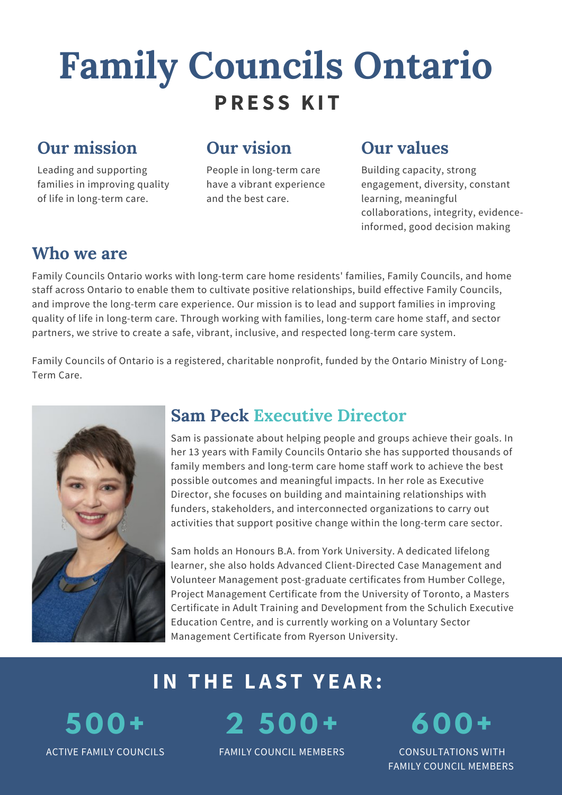# **Family Councils Ontario PRE S S KI T**

### **Our mission**

Leading and supporting families in improving quality of life in long-term care.

## **Our vision**

People in long-term care have a vibrant experience and the best care.

#### **Our values**

Building capacity, strong engagement, diversity, constant learning, meaningful collaborations, integrity, evidenceinformed, good decision making

### **Who we are**

Family Councils Ontario works with long-term care home residents' families, Family Councils, and home staff across Ontario to enable them to cultivate positive relationships, build effective Family Councils, and improve the long-term care experience. Our mission is to lead and support families in improving quality of life in long-term care. Through working with families, long-term care home staff, and sector partners, we strive to create a safe, vibrant, inclusive, and respected long-term care system.

Family Councils of Ontario is a [registered,](http://www.health.gov.on.ca/en/) charitable nonprofit, funded by the Ontario Ministry of Long-Term Care.



## **Sam Peck Executive Director**

Sam is passionate about helping people and groups achieve their goals. In her 13 years with Family Councils Ontario she has supported thousands of family members and long-term care home staff work to achieve the best possible outcomes and meaningful impacts. In her role as Executive Director, she focuses on building and maintaining relationships with funders, stakeholders, and interconnected organizations to carry out activities that support positive change within the long-term care sector.

Sam holds an Honours B.A. from York University. A dedicated lifelong learner, she also holds Advanced Client-Directed Case Management and Volunteer Management post-graduate certificates from Humber College, Project Management Certificate from the University of Toronto, a Masters Certificate in Adult Training and Development from the Schulich Executive Education Centre, and is currently working on a Voluntary Sector Management Certificate from Ryerson University.

# **IN THE L A S T Y E AR:**

**5 0 0 +** ACTIVE FAMILY COUNCILS

FAMILY COUNCIL MEMBERS

**2 5 0 0 +**

**6 0 0 +**

CONSULTATIONS WITH FAMILY COUNCIL MEMBERS